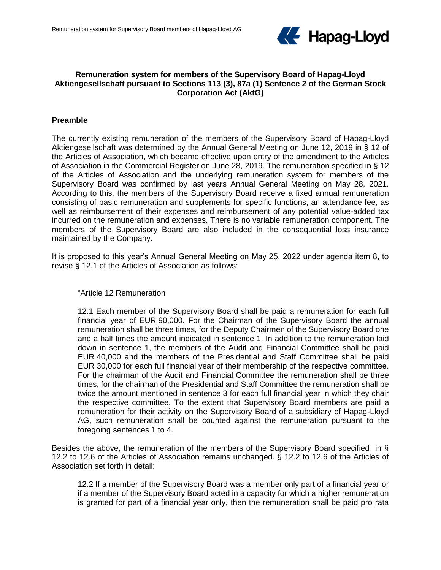

# **Remuneration system for members of the Supervisory Board of Hapag-Lloyd Aktiengesellschaft pursuant to Sections 113 (3), 87a (1) Sentence 2 of the German Stock Corporation Act (AktG)**

### **Preamble**

The currently existing remuneration of the members of the Supervisory Board of Hapag-Lloyd Aktiengesellschaft was determined by the Annual General Meeting on June 12, 2019 in § 12 of the Articles of Association, which became effective upon entry of the amendment to the Articles of Association in the Commercial Register on June 28, 2019. The remuneration specified in § 12 of the Articles of Association and the underlying remuneration system for members of the Supervisory Board was confirmed by last years Annual General Meeting on May 28, 2021. According to this, the members of the Supervisory Board receive a fixed annual remuneration consisting of basic remuneration and supplements for specific functions, an attendance fee, as well as reimbursement of their expenses and reimbursement of any potential value-added tax incurred on the remuneration and expenses. There is no variable remuneration component. The members of the Supervisory Board are also included in the consequential loss insurance maintained by the Company.

It is proposed to this year's Annual General Meeting on May 25, 2022 under agenda item 8, to revise § 12.1 of the Articles of Association as follows:

#### "Article 12 Remuneration

12.1 Each member of the Supervisory Board shall be paid a remuneration for each full financial year of EUR 90,000. For the Chairman of the Supervisory Board the annual remuneration shall be three times, for the Deputy Chairmen of the Supervisory Board one and a half times the amount indicated in sentence 1. In addition to the remuneration laid down in sentence 1, the members of the Audit and Financial Committee shall be paid EUR 40,000 and the members of the Presidential and Staff Committee shall be paid EUR 30,000 for each full financial year of their membership of the respective committee. For the chairman of the Audit and Financial Committee the remuneration shall be three times, for the chairman of the Presidential and Staff Committee the remuneration shall be twice the amount mentioned in sentence 3 for each full financial year in which they chair the respective committee. To the extent that Supervisory Board members are paid a remuneration for their activity on the Supervisory Board of a subsidiary of Hapag-Lloyd AG, such remuneration shall be counted against the remuneration pursuant to the foregoing sentences 1 to 4.

Besides the above, the remuneration of the members of the Supervisory Board specified in § 12.2 to 12.6 of the Articles of Association remains unchanged. § 12.2 to 12.6 of the Articles of Association set forth in detail:

12.2 If a member of the Supervisory Board was a member only part of a financial year or if a member of the Supervisory Board acted in a capacity for which a higher remuneration is granted for part of a financial year only, then the remuneration shall be paid pro rata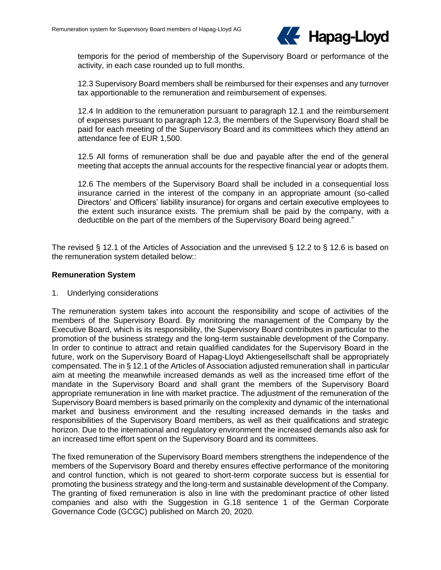

temporis for the period of membership of the Supervisory Board or performance of the activity, in each case rounded up to full months.

12.3 Supervisory Board members shall be reimbursed for their expenses and any turnover tax apportionable to the remuneration and reimbursement of expenses.

12.4 In addition to the remuneration pursuant to paragraph 12.1 and the reimbursement of expenses pursuant to paragraph 12.3, the members of the Supervisory Board shall be paid for each meeting of the Supervisory Board and its committees which they attend an attendance fee of EUR 1,500.

12.5 All forms of remuneration shall be due and payable after the end of the general meeting that accepts the annual accounts for the respective financial year or adopts them.

12.6 The members of the Supervisory Board shall be included in a consequential loss insurance carried in the interest of the company in an appropriate amount (so-called Directors' and Officers' liability insurance) for organs and certain executive employees to the extent such insurance exists. The premium shall be paid by the company, with a deductible on the part of the members of the Supervisory Board being agreed."

The revised § 12.1 of the Articles of Association and the unrevised § 12.2 to § 12.6 is based on the remuneration system detailed below::

#### **Remuneration System**

1. Underlying considerations

The remuneration system takes into account the responsibility and scope of activities of the members of the Supervisory Board. By monitoring the management of the Company by the Executive Board, which is its responsibility, the Supervisory Board contributes in particular to the promotion of the business strategy and the long-term sustainable development of the Company. In order to continue to attract and retain qualified candidates for the Supervisory Board in the future, work on the Supervisory Board of Hapag-Lloyd Aktiengesellschaft shall be appropriately compensated. The in § 12.1 of the Articles of Association adjusted remuneration shall in particular aim at meeting the meanwhile increased demands as well as the increased time effort of the mandate in the Supervisory Board and shall grant the members of the Supervisory Board appropriate remuneration in line with market practice. The adjustment of the remuneration of the Supervisory Board members is based primarily on the complexity and dynamic of the international market and business environment and the resulting increased demands in the tasks and responsibilities of the Supervisory Board members, as well as their qualifications and strategic horizon. Due to the international and regulatory environment the increased demands also ask for an increased time effort spent on the Supervisory Board and its committees.

The fixed remuneration of the Supervisory Board members strengthens the independence of the members of the Supervisory Board and thereby ensures effective performance of the monitoring and control function, which is not geared to short-term corporate success but is essential for promoting the business strategy and the long-term and sustainable development of the Company. The granting of fixed remuneration is also in line with the predominant practice of other listed companies and also with the Suggestion in G.18 sentence 1 of the German Corporate Governance Code (GCGC) published on March 20, 2020.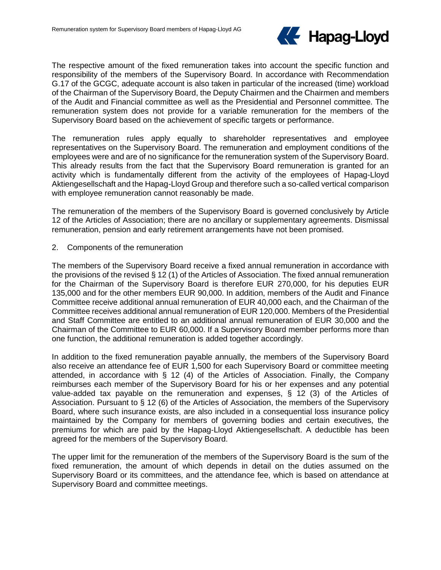

The respective amount of the fixed remuneration takes into account the specific function and responsibility of the members of the Supervisory Board. In accordance with Recommendation G.17 of the GCGC, adequate account is also taken in particular of the increased (time) workload of the Chairman of the Supervisory Board, the Deputy Chairmen and the Chairmen and members of the Audit and Financial committee as well as the Presidential and Personnel committee. The remuneration system does not provide for a variable remuneration for the members of the Supervisory Board based on the achievement of specific targets or performance.

The remuneration rules apply equally to shareholder representatives and employee representatives on the Supervisory Board. The remuneration and employment conditions of the employees were and are of no significance for the remuneration system of the Supervisory Board. This already results from the fact that the Supervisory Board remuneration is granted for an activity which is fundamentally different from the activity of the employees of Hapag-Lloyd Aktiengesellschaft and the Hapag-Lloyd Group and therefore such a so-called vertical comparison with employee remuneration cannot reasonably be made.

The remuneration of the members of the Supervisory Board is governed conclusively by Article 12 of the Articles of Association; there are no ancillary or supplementary agreements. Dismissal remuneration, pension and early retirement arrangements have not been promised.

2. Components of the remuneration

The members of the Supervisory Board receive a fixed annual remuneration in accordance with the provisions of the revised § 12 (1) of the Articles of Association. The fixed annual remuneration for the Chairman of the Supervisory Board is therefore EUR 270,000, for his deputies EUR 135,000 and for the other members EUR 90,000. In addition, members of the Audit and Finance Committee receive additional annual remuneration of EUR 40,000 each, and the Chairman of the Committee receives additional annual remuneration of EUR 120,000. Members of the Presidential and Staff Committee are entitled to an additional annual remuneration of EUR 30,000 and the Chairman of the Committee to EUR 60,000. If a Supervisory Board member performs more than one function, the additional remuneration is added together accordingly.

In addition to the fixed remuneration payable annually, the members of the Supervisory Board also receive an attendance fee of EUR 1,500 for each Supervisory Board or committee meeting attended, in accordance with § 12 (4) of the Articles of Association. Finally, the Company reimburses each member of the Supervisory Board for his or her expenses and any potential value-added tax payable on the remuneration and expenses, § 12 (3) of the Articles of Association. Pursuant to § 12 (6) of the Articles of Association, the members of the Supervisory Board, where such insurance exists, are also included in a consequential loss insurance policy maintained by the Company for members of governing bodies and certain executives, the premiums for which are paid by the Hapag-Lloyd Aktiengesellschaft. A deductible has been agreed for the members of the Supervisory Board.

The upper limit for the remuneration of the members of the Supervisory Board is the sum of the fixed remuneration, the amount of which depends in detail on the duties assumed on the Supervisory Board or its committees, and the attendance fee, which is based on attendance at Supervisory Board and committee meetings.